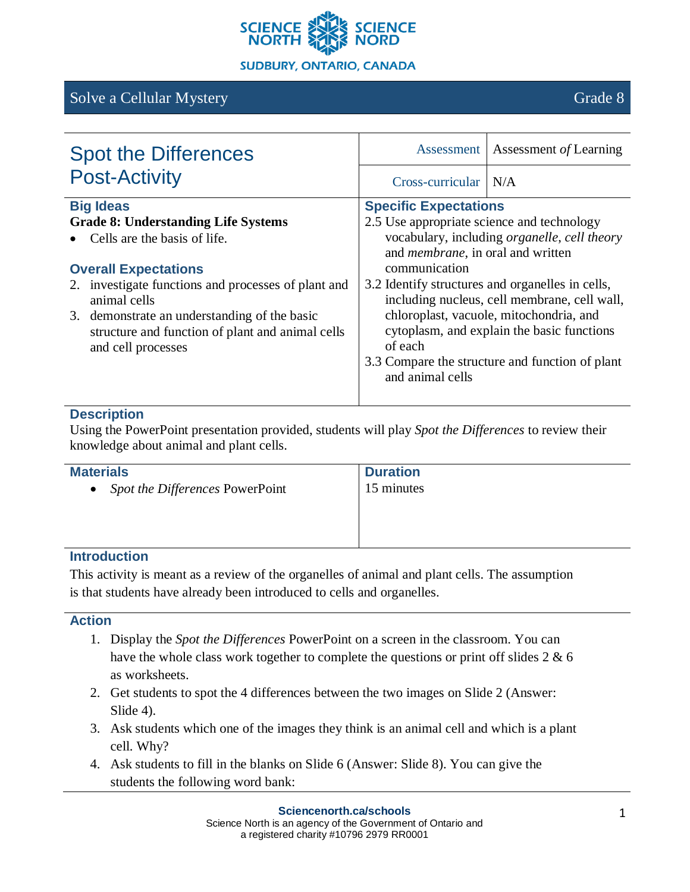

# Solve a Cellular Mystery Grade 8

| <b>Spot the Differences</b>                                                                                            | Assessment                                                                                                                                                              | Assessment of Learning                                                                           |
|------------------------------------------------------------------------------------------------------------------------|-------------------------------------------------------------------------------------------------------------------------------------------------------------------------|--------------------------------------------------------------------------------------------------|
| <b>Post-Activity</b>                                                                                                   | $Cross-curricular$ $N/A$                                                                                                                                                |                                                                                                  |
| <b>Big Ideas</b>                                                                                                       | <b>Specific Expectations</b>                                                                                                                                            |                                                                                                  |
| <b>Grade 8: Understanding Life Systems</b>                                                                             | 2.5 Use appropriate science and technology                                                                                                                              |                                                                                                  |
| Cells are the basis of life.                                                                                           | and <i>membrane</i> , in oral and written                                                                                                                               | vocabulary, including <i>organelle</i> , <i>cell theory</i>                                      |
| <b>Overall Expectations</b>                                                                                            | communication                                                                                                                                                           |                                                                                                  |
| 2. investigate functions and processes of plant and<br>animal cells                                                    |                                                                                                                                                                         | 3.2 Identify structures and organelles in cells,<br>including nucleus, cell membrane, cell wall, |
| 3. demonstrate an understanding of the basic<br>structure and function of plant and animal cells<br>and cell processes | chloroplast, vacuole, mitochondria, and<br>cytoplasm, and explain the basic functions<br>of each<br>3.3 Compare the structure and function of plant<br>and animal cells |                                                                                                  |

### **Description**

Using the PowerPoint presentation provided, students will play *Spot the Differences* to review their knowledge about animal and plant cells.

| <b>Materials</b>                | <b>Duration</b> |
|---------------------------------|-----------------|
| Spot the Differences PowerPoint | 15 minutes      |
|                                 |                 |

### **Introduction**

This activity is meant as a review of the organelles of animal and plant cells. The assumption is that students have already been introduced to cells and organelles.

### **Action**

- 1. Display the *Spot the Differences* PowerPoint on a screen in the classroom. You can have the whole class work together to complete the questions or print off slides 2 & 6 as worksheets.
- 2. Get students to spot the 4 differences between the two images on Slide 2 (Answer: Slide 4).
- 3. Ask students which one of the images they think is an animal cell and which is a plant cell. Why?
- 4. Ask students to fill in the blanks on Slide 6 (Answer: Slide 8). You can give the students the following word bank: